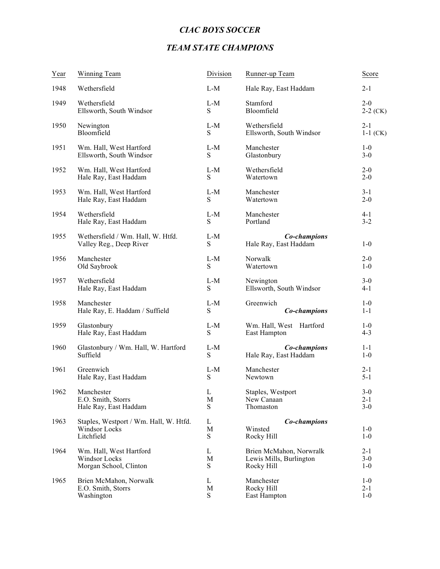## *CIAC BOYS SOCCER*

## *TEAM STATE CHAMPIONS*

| Year | Winning Team                                                          | Division     | Runner-up Team                        | Score            |
|------|-----------------------------------------------------------------------|--------------|---------------------------------------|------------------|
| 1948 | Wethersfield                                                          | $L-M$        | Hale Ray, East Haddam                 | $2 - 1$          |
| 1949 | Wethersfield                                                          | $L-M$        | Stamford                              | $2 - 0$          |
|      | Ellsworth, South Windsor                                              | S            | Bloomfield                            | $2-2$ (CK)       |
| 1950 | Newington                                                             | L-M          | Wethersfield                          | $2 - 1$          |
|      | Bloomfield                                                            | S            | Ellsworth, South Windsor              | $1-1$ (CK)       |
| 1951 | Wm. Hall, West Hartford                                               | $L-M$        | Manchester                            | $1 - 0$          |
|      | Ellsworth, South Windsor                                              | S            | Glastonbury                           | $3 - 0$          |
| 1952 | Wm. Hall, West Hartford                                               | L-M          | Wethersfield                          | $2 - 0$          |
|      | Hale Ray, East Haddam                                                 | S            | Watertown                             | $2 - 0$          |
| 1953 | Wm. Hall, West Hartford                                               | $L-M$        | Manchester                            | $3 - 1$          |
|      | Hale Ray, East Haddam                                                 | S            | Watertown                             | $2 - 0$          |
| 1954 | Wethersfield                                                          | $L-M$        | Manchester                            | $4 - 1$          |
|      | Hale Ray, East Haddam                                                 | S            | Portland                              | $3 - 2$          |
| 1955 | Wethersfield / Wm. Hall, W. Htfd.<br>Valley Reg., Deep River          | L-M<br>S     | Co-champions<br>Hale Ray, East Haddam | $1-0$            |
| 1956 | Manchester                                                            | L-M          | Norwalk                               | $2 - 0$          |
|      | Old Saybrook                                                          | S            | Watertown                             | $1-0$            |
| 1957 | Wethersfield                                                          | $L-M$        | Newington                             | $3-0$            |
|      | Hale Ray, East Haddam                                                 | S            | Ellsworth, South Windsor              | $4 - 1$          |
| 1958 | Manchester                                                            | $L-M$        | Greenwich                             | $1-0$            |
|      | Hale Ray, E. Haddam / Suffield                                        | S            | Co-champions                          | $1 - 1$          |
| 1959 | Glastonbury                                                           | L-M          | Wm. Hall, West Hartford               | $1-0$            |
|      | Hale Ray, East Haddam                                                 | S            | East Hampton                          | $4 - 3$          |
| 1960 | Glastonbury / Wm. Hall, W. Hartford                                   | L-M          | Co-champions                          | $1 - 1$          |
|      | Suffield                                                              | S            | Hale Ray, East Haddam                 | $1-0$            |
| 1961 | Greenwich                                                             | L-M          | Manchester                            | $2 - 1$          |
|      | Hale Ray, East Haddam                                                 | S            | Newtown                               | $5 - 1$          |
| 1962 | Manchester                                                            | $\mathbf{L}$ | Staples, Westport                     | $3 - 0$          |
|      | E.O. Smith, Storrs                                                    | M            | New Canaan                            | $2-1$            |
|      | Hale Ray, East Haddam                                                 | S            | Thomaston                             | $3 - 0$          |
| 1963 | Staples, Westport / Wm. Hall, W. Htfd.<br>Windsor Locks<br>Litchfield | L<br>M<br>S  | Co-champions<br>Winsted<br>Rocky Hill | $1 - 0$<br>$1-0$ |
| 1964 | Wm. Hall, West Hartford                                               | L            | Brien McMahon, Norwralk               | $2 - 1$          |
|      | Windsor Locks                                                         | M            | Lewis Mills, Burlington               | $3-0$            |
|      | Morgan School, Clinton                                                | S.           | Rocky Hill                            | $1-0$            |
| 1965 | Brien McMahon, Norwalk                                                | L            | Manchester                            | $1 - 0$          |
|      | E.O. Smith, Storrs                                                    | $\mathbf M$  | Rocky Hill                            | $2 - 1$          |
|      | Washington                                                            | S            | East Hampton                          | $1-0$            |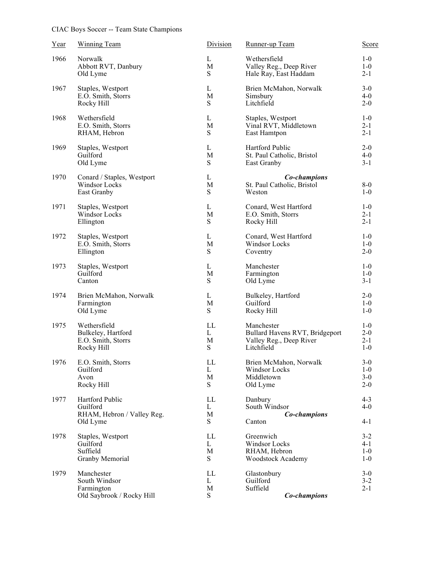| <u>Year</u> | <b>Winning Team</b>                                                    | <b>Division</b>   | Runner-up Team                                       | <b>Score</b>                  |
|-------------|------------------------------------------------------------------------|-------------------|------------------------------------------------------|-------------------------------|
| 1966        | Norwalk                                                                | L                 | Wethersfield                                         | $1-0$                         |
|             | Abbott RVT, Danbury                                                    | M                 | Valley Reg., Deep River                              | $1-0$                         |
|             | Old Lyme                                                               | ${\bf S}$         | Hale Ray, East Haddam                                | $2 - 1$                       |
| 1967        | Staples, Westport                                                      | L                 | Brien McMahon, Norwalk                               | $3-0$                         |
|             | E.O. Smith, Storrs                                                     | M                 | Simsbury                                             | $4 - 0$                       |
|             | Rocky Hill                                                             | ${\bf S}$         | Litchfield                                           | $2 - 0$                       |
| 1968        | Wethersfield                                                           | L                 | Staples, Westport                                    | $1 - 0$                       |
|             | E.O. Smith, Storrs                                                     | M                 | Vinal RVT, Middletown                                | $2 - 1$                       |
|             | RHAM, Hebron                                                           | S                 | East Hamtpon                                         | $2 - 1$                       |
| 1969        | Staples, Westport                                                      | L                 | Hartford Public                                      | $2 - 0$                       |
|             | Guilford                                                               | M                 | St. Paul Catholic, Bristol                           | $4 - 0$                       |
|             | Old Lyme                                                               | ${\bf S}$         | East Granby                                          | $3 - 1$                       |
| 1970        | Conard / Staples, Westport<br>Windsor Locks<br>East Granby             | L<br>M<br>S       | Co-champions<br>St. Paul Catholic, Bristol<br>Weston | $8 - 0$<br>$1-0$              |
| 1971        | Staples, Westport                                                      | L                 | Conard, West Hartford                                | $1-0$                         |
|             | Windsor Locks                                                          | M                 | E.O. Smith, Storrs                                   | $2 - 1$                       |
|             | Ellington                                                              | ${\bf S}$         | Rocky Hill                                           | $2 - 1$                       |
| 1972        | Staples, Westport                                                      | L                 | Conard, West Hartford                                | $1-0$                         |
|             | E.O. Smith, Storrs                                                     | M                 | Windsor Locks                                        | $1-0$                         |
|             | Ellington                                                              | S                 | Coventry                                             | $2 - 0$                       |
| 1973        | Staples, Westport                                                      | L                 | Manchester                                           | $1-0$                         |
|             | Guilford                                                               | M                 | Farmington                                           | $1-0$                         |
|             | Canton                                                                 | ${\bf S}$         | Old Lyme                                             | $3 - 1$                       |
| 1974        | Brien McMahon, Norwalk                                                 | L                 | Bulkeley, Hartford                                   | $2 - 0$                       |
|             | Farmington                                                             | M                 | Guilford                                             | $1 - 0$                       |
|             | Old Lyme                                                               | ${\bf S}$         | Rocky Hill                                           | $1-0$                         |
| 1975        | Wethersfield                                                           | $\mathop{\rm LL}$ | Manchester                                           | $1-0$                         |
|             | Bulkeley, Hartford                                                     | L                 | Bullard Havens RVT, Bridgeport                       | $2 - 0$                       |
|             | E.O. Smith, Storrs                                                     | M                 | Valley Reg., Deep River                              | $2 - 1$                       |
|             | Rocky Hill                                                             | S                 | Litchfield                                           | $1-0$                         |
| 1976        | E.O. Smith, Storrs                                                     | LL                | Brien McMahon, Norwalk                               | $3-0$                         |
|             | Guilford                                                               | L                 | Windsor Locks                                        | $1-0$                         |
|             | Avon                                                                   | M                 | Middletown                                           | $3 - 0$                       |
|             | Rocky Hill                                                             | ${\bf S}$         | Old Lyme                                             | $2 - 0$                       |
| 1977        | Hartford Public<br>Guilford<br>RHAM, Hebron / Valley Reg.<br>Old Lyme  | LL<br>L<br>M<br>S | Danbury<br>South Windsor<br>Co-champions<br>Canton   | $4 - 3$<br>$4 - 0$<br>$4 - 1$ |
| 1978        | Staples, Westport                                                      | LL                | Greenwich                                            | $3 - 2$                       |
|             | Guilford                                                               | L                 | Windsor Locks                                        | $4 - 1$                       |
|             | Suffield                                                               | M                 | RHAM, Hebron                                         | $1-0$                         |
|             | Granby Memorial                                                        | S                 | Woodstock Academy                                    | $1-0$                         |
| 1979        | Manchester<br>South Windsor<br>Farmington<br>Old Saybrook / Rocky Hill | LL<br>L<br>M<br>S | Glastonbury<br>Guilford<br>Suffield<br>Co-champions  | $3-0$<br>$3 - 2$<br>$2 - 1$   |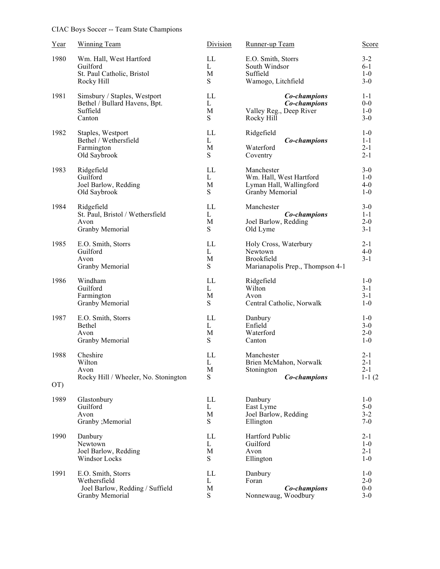| <u>Year</u> | Winning Team                         | <b>Division</b>   | Runner-up Team                    | Score            |
|-------------|--------------------------------------|-------------------|-----------------------------------|------------------|
| 1980        | Wm. Hall, West Hartford              | LL                | E.O. Smith, Storrs                | $3 - 2$          |
|             | Guilford                             | L                 | South Windsor                     | $6 - 1$          |
|             | St. Paul Catholic, Bristol           | M                 | Suffield                          | $1-0$            |
|             | Rocky Hill                           | S                 | Wamogo, Litchfield                | $3 - 0$          |
| 1981        | Simsbury / Staples, Westport         | $\mathop{\rm LL}$ | Co-champions                      | $1 - 1$          |
|             | Bethel / Bullard Havens, Bpt.        | L                 | Co-champions                      | $0-0$            |
|             | Suffield                             | M                 | Valley Reg., Deep River           | $1-0$            |
|             | Canton                               | S                 | Rocky Hill                        | $3 - 0$          |
| 1982        | Staples, Westport                    | LL                | Ridgefield                        | $1-0$            |
|             | Bethel / Wethersfield                | L                 | Co-champions                      | $1-1$            |
|             | Farmington                           | M                 | Waterford                         | $2 - 1$          |
|             | Old Saybrook                         | ${\bf S}$         | Coventry                          | $2 - 1$          |
| 1983        | Ridgefield                           | LL                | Manchester                        | $3-0$            |
|             | Guilford                             | L                 | Wm. Hall, West Hartford           | $1-0$            |
|             | Joel Barlow, Redding                 | M                 | Lyman Hall, Wallingford           | $4 - 0$          |
|             | Old Saybrook                         | S                 | Granby Memorial                   | $1 - 0$          |
| 1984        | Ridgefield                           | LL                | Manchester                        | $3 - 0$          |
|             | St. Paul, Bristol / Wethersfield     | L                 | Co-champions                      | $1 - 1$          |
|             | Avon                                 | M                 | Joel Barlow, Redding              | $2 - 0$          |
|             | Granby Memorial                      | S                 | Old Lyme                          | $3 - 1$          |
| 1985        | E.O. Smith, Storrs                   | LL                | Holy Cross, Waterbury             | $2 - 1$          |
|             | Guilford                             | $\mathbf{L}$      | Newtown                           | $4 - 0$          |
|             | Avon                                 | M                 | Brookfield                        | $3 - 1$          |
|             | Granby Memorial                      | ${\bf S}$         | Marianapolis Prep., Thompson 4-1  |                  |
| 1986        | Windham                              | LL                | Ridgefield                        | $1-0$            |
|             | Guilford                             | L                 | Wilton                            | $3 - 1$          |
|             | Farmington                           | M                 | Avon                              | $3 - 1$          |
|             | Granby Memorial                      | S                 | Central Catholic, Norwalk         | $1-0$            |
| 1987        | E.O. Smith, Storrs                   | LL                | Danbury                           | $1-0$            |
|             | Bethel                               | L                 | Enfield                           | $3 - 0$          |
|             | Avon                                 | M                 | Waterford                         | $2-0$            |
|             | Granby Memorial                      | S                 | Canton                            | $1-0$            |
| 1988        | Cheshire                             | LL                | Manchester                        | $2 - 1$          |
|             | Wilton                               | L                 | Brien McMahon, Norwalk            | $2 - 1$          |
|             | Avon                                 | M                 | Stonington                        | $2 - 1$          |
| OT)         | Rocky Hill / Wheeler, No. Stonington | S                 | Co-champions                      | $1-1(2)$         |
| 1989        | Glastonbury                          | LL                | Danbury                           | $1-0$            |
|             | Guilford                             | L                 |                                   | $5-0$            |
|             | Avon                                 | M                 | East Lyme<br>Joel Barlow, Redding | $3 - 2$          |
|             | Granby ; Memorial                    | S                 |                                   | $7 - 0$          |
|             |                                      |                   | Ellington                         |                  |
| 1990        | Danbury                              | LL                | Hartford Public                   | $2 - 1$          |
|             | Newtown                              | L                 | Guilford                          | $1-0$            |
|             | Joel Barlow, Redding                 | M                 | Avon                              | $2 - 1$          |
|             | Windsor Locks                        | S                 | Ellington                         | $1-0$            |
| 1991        | E.O. Smith, Storrs<br>Wethersfield   | LL<br>L           | Danbury<br>Foran                  | $1-0$<br>$2 - 0$ |
|             | Joel Barlow, Redding / Suffield      | M                 | Co-champions                      | $0-0$            |
|             | Granby Memorial                      | S                 | Nonnewaug, Woodbury               | $3 - 0$          |
|             |                                      |                   |                                   |                  |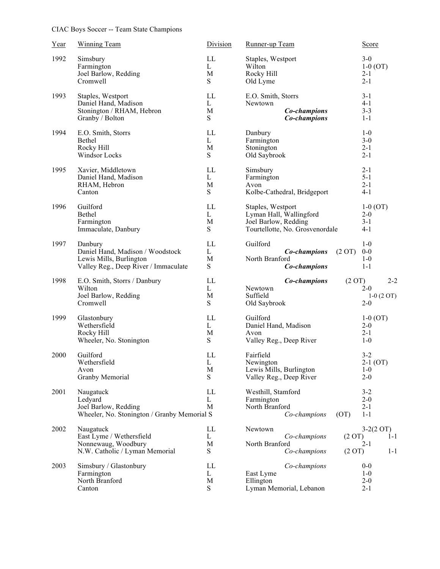| Year | <b>Winning Team</b>                         | Division       | Runner-up Team                       | Score              |
|------|---------------------------------------------|----------------|--------------------------------------|--------------------|
| 1992 | Simsbury                                    | LL             | Staples, Westport                    | $3 - 0$            |
|      | Farmington                                  | L              | Wilton                               | $1-0$ (OT)         |
|      | Joel Barlow, Redding                        | M              | Rocky Hill                           | $2 - 1$            |
|      | Cromwell                                    | S              | Old Lyme                             | $2 - 1$            |
|      |                                             |                |                                      |                    |
| 1993 | Staples, Westport                           | LL             | E.O. Smith, Storrs                   | $3 - 1$            |
|      | Daniel Hand, Madison                        | L              | Newtown                              | $4 - 1$            |
|      | Stonington / RHAM, Hebron                   | M              | Co-champions                         | $3 - 3$            |
|      | Granby / Bolton                             | ${\bf S}$      | Co-champions                         | $1 - 1$            |
| 1994 | E.O. Smith, Storrs                          | LL             | Danbury                              | $1-0$              |
|      | Bethel                                      | L              | Farmington                           | $3 - 0$            |
|      | Rocky Hill                                  | M              | Stonington                           | $2 - 1$            |
|      | Windsor Locks                               | ${\bf S}$      | Old Saybrook                         | $2 - 1$            |
|      |                                             |                |                                      |                    |
| 1995 | Xavier, Middletown                          | LL             | Simsbury                             | $2 - 1$            |
|      | Daniel Hand, Madison                        | L              | Farmington                           | $5 - 1$            |
|      | RHAM, Hebron                                | M              | Avon                                 | $2 - 1$            |
|      | Canton                                      | ${\bf S}$      | Kolbe-Cathedral, Bridgeport          | $4 - 1$            |
| 1996 | Guilford                                    | LL             | Staples, Westport                    | $1-0$ (OT)         |
|      | Bethel                                      | L              | Lyman Hall, Wallingford              | $2 - 0$            |
|      | Farmington                                  | M              | Joel Barlow, Redding                 | $3 - 1$            |
|      | Immaculate, Danbury                         | ${\bf S}$      | Tourtellotte, No. Grosvenordale      | $4 - 1$            |
|      |                                             |                |                                      |                    |
| 1997 | Danbury                                     | LL             | Guilford                             | $1-0$              |
|      | Daniel Hand, Madison / Woodstock            | L              | (2 OT)<br>Co-champions               | $0-0$              |
|      | Lewis Mills, Burlington                     | M              | North Branford                       | $1-0$              |
|      | Valley Reg., Deep River / Immaculate        | ${\bf S}$      | Co-champions                         | $1 - 1$            |
|      |                                             |                |                                      |                    |
|      |                                             |                |                                      |                    |
| 1998 | E.O. Smith, Storrs / Danbury                | LL             | Co-champions<br>(2 OT)               | $2 - 2$            |
|      | Wilton                                      | L              | Newtown                              | $2-0$              |
|      | Joel Barlow, Redding                        | M              | Suffield                             | $1-0$ (2 OT)       |
|      | Cromwell                                    | S              | Old Saybrook                         | $2 - 0$            |
| 1999 | Glastonbury                                 | LL             | Guilford                             | $1-0$ (OT)         |
|      | Wethersfield                                | L              | Daniel Hand, Madison                 | $2 - 0$            |
|      | Rocky Hill                                  | M              | Avon                                 | $2 - 1$            |
|      | Wheeler, No. Stonington                     | ${\bf S}$      | Valley Reg., Deep River              | $1-0$              |
|      |                                             |                |                                      |                    |
| 2000 | Guilford                                    | LL             | Fairfield                            | $3 - 2$            |
|      | Wethersfield                                | L              | Newington                            | $2-1$ (OT)         |
|      | Avon                                        | M              | Lewis Mills, Burlington              | $1 - 0$            |
|      | Granby Memorial                             | ${\bf S}$      | Valley Reg., Deep River              | $2 - 0$            |
|      |                                             |                |                                      | $3 - 2$            |
| 2001 | Naugatuck                                   | LL             | Westhill, Stamford                   |                    |
|      | Ledyard                                     | L              | Farmington                           | $2 - 0$            |
|      | Joel Barlow, Redding                        | M              | North Branford                       | $2 - 1$<br>$1 - 1$ |
|      | Wheeler, No. Stonington / Granby Memorial S |                | Co-champions<br>(OT)                 |                    |
| 2002 | Naugatuck                                   | LL             | Newtown                              | $3-2(2$ OT)        |
|      | East Lyme / Wethersfield                    | L              | (2 OT)<br>Co-champions               | $1 - 1$            |
|      | Nonnewaug, Woodbury                         | M              | North Branford                       | $2 - 1$            |
|      | N.W. Catholic / Lyman Memorial              | S              | Co-champions<br>(2 OT)               | $1 - 1$            |
|      |                                             |                |                                      |                    |
| 2003 | Simsbury / Glastonbury                      | LL             | Co-champions                         | $0-0$              |
|      | Farmington                                  | L              | East Lyme                            | $1-0$              |
|      | North Branford<br>Canton                    | M<br>${\bf S}$ | Ellington<br>Lyman Memorial, Lebanon | $2 - 0$<br>$2 - 1$ |